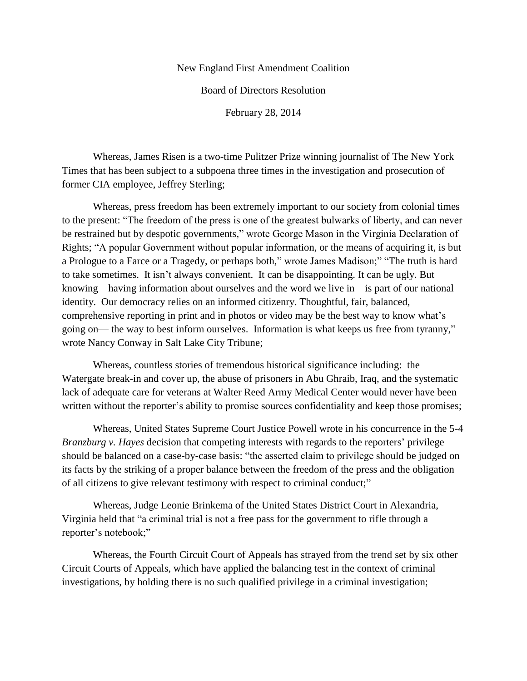## New England First Amendment Coalition

Board of Directors Resolution

February 28, 2014

Whereas, James Risen is a two-time Pulitzer Prize winning journalist of The New York Times that has been subject to a subpoena three times in the investigation and prosecution of former CIA employee, Jeffrey Sterling;

Whereas, press freedom has been extremely important to our society from colonial times to the present: "The freedom of the press is one of the greatest bulwarks of liberty, and can never be restrained but by despotic governments," wrote George Mason in the Virginia Declaration of Rights; "A popular Government without popular information, or the means of acquiring it, is but a Prologue to a Farce or a Tragedy, or perhaps both," wrote James Madison;" "The truth is hard to take sometimes. It isn't always convenient. It can be disappointing. It can be ugly. But knowing—having information about ourselves and the word we live in—is part of our national identity. Our democracy relies on an informed citizenry. Thoughtful, fair, balanced, comprehensive reporting in print and in photos or video may be the best way to know what's going on— the way to best inform ourselves. Information is what keeps us free from tyranny," wrote Nancy Conway in Salt Lake City Tribune;

Whereas, countless stories of tremendous historical significance including: the Watergate break-in and cover up, the abuse of prisoners in Abu Ghraib, Iraq, and the systematic lack of adequate care for veterans at Walter Reed Army Medical Center would never have been written without the reporter's ability to promise sources confidentiality and keep those promises;

Whereas, United States Supreme Court Justice Powell wrote in his concurrence in the 5-4 *Branzburg v. Hayes* decision that competing interests with regards to the reporters' privilege should be balanced on a case-by-case basis: "the asserted claim to privilege should be judged on its facts by the striking of a proper balance between the freedom of the press and the obligation of all citizens to give relevant testimony with respect to criminal conduct;"

Whereas, Judge Leonie Brinkema of the United States District Court in Alexandria, Virginia held that "a criminal trial is not a free pass for the government to rifle through a reporter's notebook;"

Whereas, the Fourth Circuit Court of Appeals has strayed from the trend set by six other Circuit Courts of Appeals, which have applied the balancing test in the context of criminal investigations, by holding there is no such qualified privilege in a criminal investigation;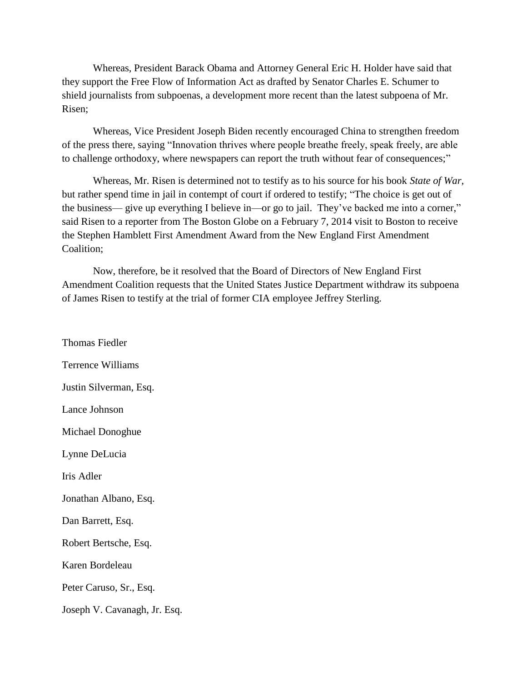Whereas, President Barack Obama and Attorney General Eric H. Holder have said that they support the Free Flow of Information Act as drafted by Senator Charles E. Schumer to shield journalists from subpoenas, a development more recent than the latest subpoena of Mr. Risen;

Whereas, Vice President Joseph Biden recently encouraged China to strengthen freedom of the press there, saying "Innovation thrives where people breathe freely, speak freely, are able to challenge orthodoxy, where newspapers can report the truth without fear of consequences;"

Whereas, Mr. Risen is determined not to testify as to his source for his book *State of War,* but rather spend time in jail in contempt of court if ordered to testify; "The choice is get out of the business— give up everything I believe in—or go to jail. They've backed me into a corner," said Risen to a reporter from The Boston Globe on a February 7, 2014 visit to Boston to receive the Stephen Hamblett First Amendment Award from the New England First Amendment Coalition;

Now, therefore, be it resolved that the Board of Directors of New England First Amendment Coalition requests that the United States Justice Department withdraw its subpoena of James Risen to testify at the trial of former CIA employee Jeffrey Sterling.

Thomas Fiedler Terrence Williams Justin Silverman, Esq. Lance Johnson Michael Donoghue Lynne DeLucia Iris Adler Jonathan Albano, Esq. Dan Barrett, Esq. Robert Bertsche, Esq. Karen Bordeleau Peter Caruso, Sr., Esq. Joseph V. Cavanagh, Jr. Esq.